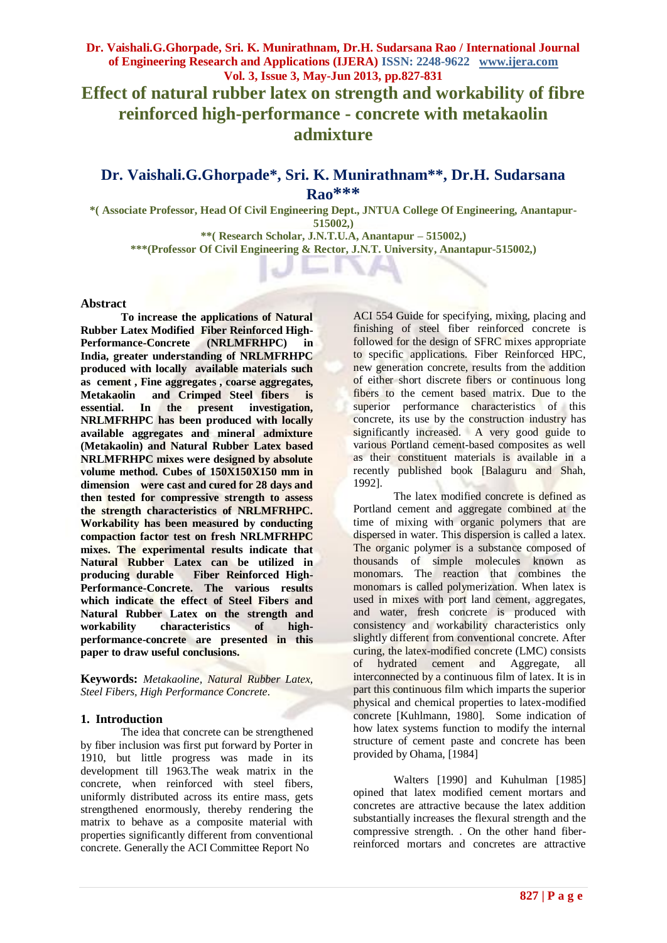**Effect of natural rubber latex on strength and workability of fibre reinforced high-performance - concrete with metakaolin admixture**

# **Dr. Vaishali.G.Ghorpade\*, Sri. K. Munirathnam\*\*, Dr.H. Sudarsana Rao\*\*\***

**\*( Associate Professor, Head Of Civil Engineering Dept., JNTUA College Of Engineering, Anantapur-515002,)**

**\*\*( Research Scholar, J.N.T.U.A, Anantapur – 515002,) \*\*\*(Professor Of Civil Engineering & Rector, J.N.T. University, Anantapur-515002,)**

#### **Abstract**

**To increase the applications of Natural Rubber Latex Modified Fiber Reinforced High-Performance-Concrete (NRLMFRHPC) in India, greater understanding of NRLMFRHPC produced with locally available materials such as cement , Fine aggregates , coarse aggregates, Metakaolin and Crimped Steel fibers is essential. In the present investigation, NRLMFRHPC has been produced with locally available aggregates and mineral admixture (Metakaolin) and Natural Rubber Latex based NRLMFRHPC mixes were designed by absolute volume method. Cubes of 150X150X150 mm in dimension were cast and cured for 28 days and then tested for compressive strength to assess the strength characteristics of NRLMFRHPC. Workability has been measured by conducting compaction factor test on fresh NRLMFRHPC mixes. The experimental results indicate that Natural Rubber Latex can be utilized in producing durable Fiber Reinforced High-Performance-Concrete. The various results which indicate the effect of Steel Fibers and Natural Rubber Latex on the strength and workability characteristics of highperformance-concrete are presented in this paper to draw useful conclusions.** 

**Keywords:** *Metakaoline, Natural Rubber Latex, Steel Fibers, High Performance Concrete.*

#### **1. Introduction**

The idea that concrete can be strengthened by fiber inclusion was first put forward by Porter in 1910, but little progress was made in its development till 1963.The weak matrix in the concrete, when reinforced with steel fibers, uniformly distributed across its entire mass, gets strengthened enormously, thereby rendering the matrix to behave as a composite material with properties significantly different from conventional concrete. Generally the ACI Committee Report No

ACI 554 Guide for specifying, mixing, placing and finishing of steel fiber reinforced concrete is followed for the design of SFRC mixes appropriate to specific applications. Fiber Reinforced HPC, new generation concrete, results from the addition of either short discrete fibers or continuous long fibers to the cement based matrix. Due to the superior performance characteristics of this concrete, its use by the construction industry has significantly increased. A very good guide to various Portland cement-based composites as well as their constituent materials is available in a recently published book [Balaguru and Shah, 1992].

The latex modified concrete is defined as Portland cement and aggregate combined at the time of mixing with organic polymers that are dispersed in water. This dispersion is called a latex. The organic polymer is a substance composed of thousands of simple molecules known as monomars. The reaction that combines the monomars is called polymerization. When latex is used in mixes with port land cement, aggregates, and water, fresh concrete is produced with consistency and workability characteristics only slightly different from conventional concrete. After curing, the latex-modified concrete (LMC) consists of hydrated cement and Aggregate, all interconnected by a continuous film of latex. It is in part this continuous film which imparts the superior physical and chemical properties to latex-modified concrete [Kuhlmann, 1980]. Some indication of how latex systems function to modify the internal structure of cement paste and concrete has been provided by Ohama, [1984]

Walters [1990] and Kuhulman [1985] opined that latex modified cement mortars and concretes are attractive because the latex addition substantially increases the flexural strength and the compressive strength. . On the other hand fiberreinforced mortars and concretes are attractive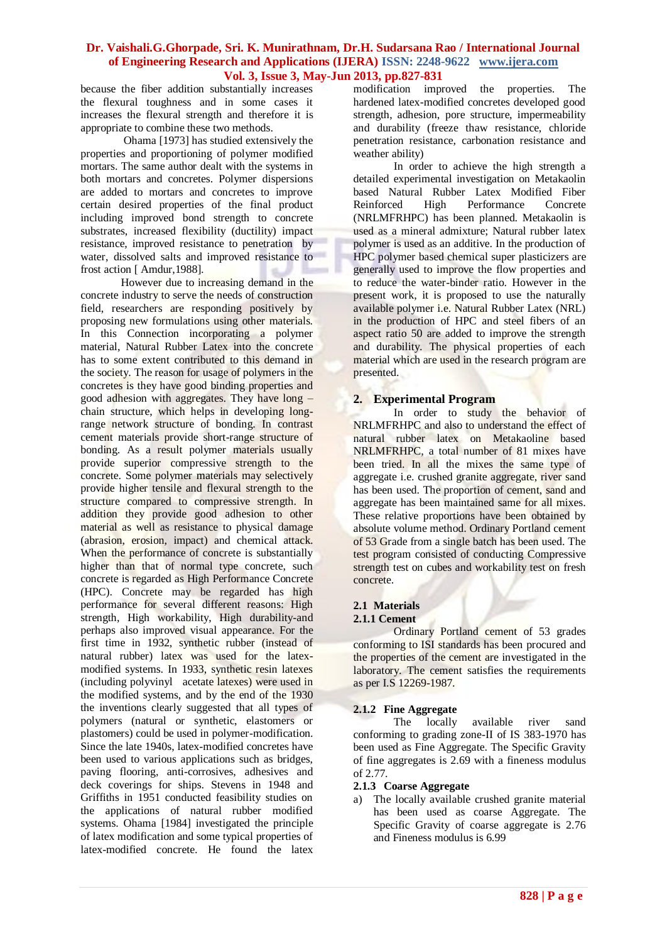because the fiber addition substantially increases the flexural toughness and in some cases it increases the flexural strength and therefore it is appropriate to combine these two methods.

Ohama [1973] has studied extensively the properties and proportioning of polymer modified mortars. The same author dealt with the systems in both mortars and concretes. Polymer dispersions are added to mortars and concretes to improve certain desired properties of the final product including improved bond strength to concrete substrates, increased flexibility (ductility) impact resistance, improved resistance to penetration by water, dissolved salts and improved resistance to frost action [ Amdur,1988].

However due to increasing demand in the concrete industry to serve the needs of construction field, researchers are responding positively by proposing new formulations using other materials. In this Connection incorporating a polymer material, Natural Rubber Latex into the concrete has to some extent contributed to this demand in the society. The reason for usage of polymers in the concretes is they have good binding properties and good adhesion with aggregates. They have long – chain structure, which helps in developing longrange network structure of bonding. In contrast cement materials provide short-range structure of bonding. As a result polymer materials usually provide superior compressive strength to the concrete. Some polymer materials may selectively provide higher tensile and flexural strength to the structure compared to compressive strength. In addition they provide good adhesion to other material as well as resistance to physical damage (abrasion, erosion, impact) and chemical attack. When the performance of concrete is substantially higher than that of normal type concrete, such concrete is regarded as High Performance Concrete (HPC). Concrete may be regarded has high performance for several different reasons: High strength, High workability, High durability-and perhaps also improved visual appearance. For the first time in 1932, synthetic rubber (instead of natural rubber) latex was used for the latexmodified systems. In 1933, synthetic resin latexes (including polyvinyl acetate latexes) were used in the modified systems, and by the end of the 1930 the inventions clearly suggested that all types of polymers (natural or synthetic, elastomers or plastomers) could be used in polymer-modification. Since the late 1940s, latex-modified concretes have been used to various applications such as bridges, paving flooring, anti-corrosives, adhesives and deck coverings for ships. Stevens in 1948 and Griffiths in 1951 conducted feasibility studies on the applications of natural rubber modified systems. Ohama [1984] investigated the principle of latex modification and some typical properties of latex-modified concrete. He found the latex

modification improved the properties. The hardened latex-modified concretes developed good strength, adhesion, pore structure, impermeability and durability (freeze thaw resistance, chloride penetration resistance, carbonation resistance and weather ability)

In order to achieve the high strength a detailed experimental investigation on Metakaolin based Natural Rubber Latex Modified Fiber Reinforced High Performance Concrete (NRLMFRHPC) has been planned. Metakaolin is used as a mineral admixture; Natural rubber latex polymer is used as an additive. In the production of HPC polymer based chemical super plasticizers are generally used to improve the flow properties and to reduce the water-binder ratio. However in the present work, it is proposed to use the naturally available polymer i.e. Natural Rubber Latex (NRL) in the production of HPC and steel fibers of an aspect ratio 50 are added to improve the strength and durability. The physical properties of each material which are used in the research program are presented.

### **2. Experimental Program**

In order to study the behavior of NRLMFRHPC and also to understand the effect of natural rubber latex on Metakaoline based NRLMFRHPC, a total number of 81 mixes have been tried. In all the mixes the same type of aggregate i.e. crushed granite aggregate, river sand has been used. The proportion of cement, sand and aggregate has been maintained same for all mixes. These relative proportions have been obtained by absolute volume method. Ordinary Portland cement of 53 Grade from a single batch has been used. The test program consisted of conducting Compressive strength test on cubes and workability test on fresh concrete.

## **2.1 Materials**

#### **2.1.1 Cement**

Ordinary Portland cement of 53 grades conforming to ISI standards has been procured and the properties of the cement are investigated in the laboratory. The cement satisfies the requirements as per I.S 12269-1987.

### **2.1.2 Fine Aggregate**

The locally available river sand conforming to grading zone-II of IS 383-1970 has been used as Fine Aggregate. The Specific Gravity of fine aggregates is 2.69 with a fineness modulus of 2.77.

### **2.1.3 Coarse Aggregate**

a) The locally available crushed granite material has been used as coarse Aggregate. The Specific Gravity of coarse aggregate is 2.76 and Fineness modulus is 6.99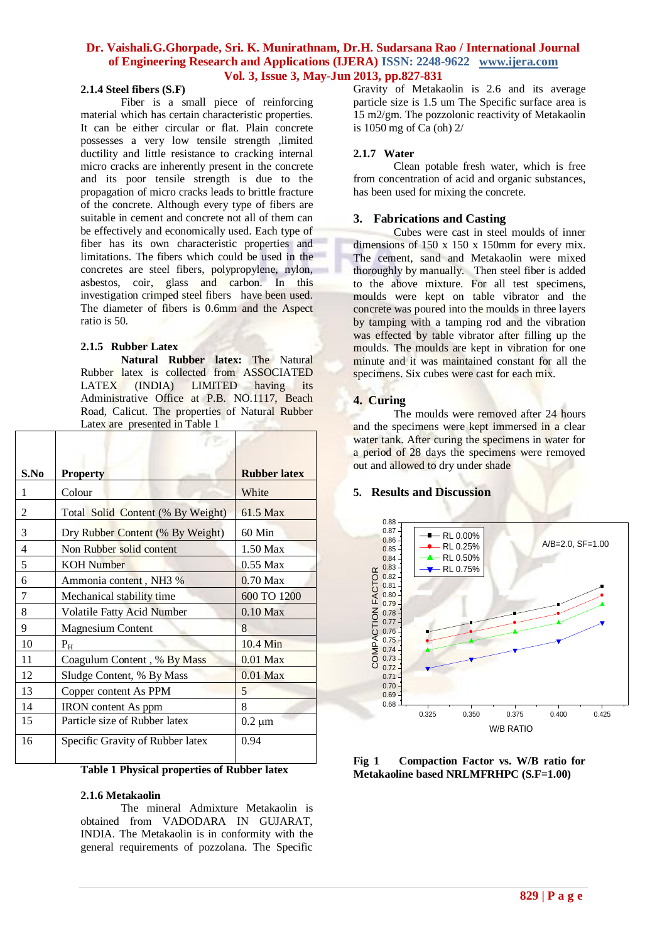### **2.1.4 Steel fibers (S.F)**

Fiber is a small piece of reinforcing material which has certain characteristic properties. It can be either circular or flat. Plain concrete possesses a very low tensile strength ,limited ductility and little resistance to cracking internal micro cracks are inherently present in the concrete and its poor tensile strength is due to the propagation of micro cracks leads to brittle fracture of the concrete. Although every type of fibers are suitable in cement and concrete not all of them can be effectively and economically used. Each type of fiber has its own characteristic properties and limitations. The fibers which could be used in the concretes are steel fibers, polypropylene, nylon, asbestos, coir, glass and carbon. In this investigation crimped steel fibers have been used. The diameter of fibers is 0.6mm and the Aspect ratio is 50.

#### **2.1.5 Rubber Latex**

**Natural Rubber latex:** The Natural Rubber latex is collected from ASSOCIATED LATEX (INDIA) LIMITED having its Administrative Office at P.B. NO.1117, Beach Road, Calicut. The properties of Natural Rubber Latex are presented in Table 1

| S.No | <b>Property</b>                   | <b>Rubber latex</b> |
|------|-----------------------------------|---------------------|
| 1    | Colour                            | White               |
| 2    | Total Solid Content (% By Weight) | 61.5 Max            |
| 3    | Dry Rubber Content (% By Weight)  | 60 Min              |
| 4    | Non Rubber solid content          | 1.50 Max            |
| 5    | <b>KOH</b> Number                 | $0.55$ Max          |
| 6    | Ammonia content, NH3 %            | $0.70$ Max          |
| 7    | Mechanical stability time         | 600 TO 1200         |
| 8    | Volatile Fatty Acid Number        | $0.10$ Max          |
| 9    | <b>Magnesium Content</b>          | 8                   |
| 10   | $P_{H}$                           | 10.4 Min            |
| 11   | Coagulum Content, % By Mass       | $0.01$ Max          |
| 12   | Sludge Content, % By Mass         | $0.01$ Max          |
| 13   | Copper content As PPM             | 5                   |
| 14   | IRON content As ppm               | 8                   |
| 15   | Particle size of Rubber latex     | $0.2 \mu m$         |
| 16   | Specific Gravity of Rubber latex  | 0.94                |

**Table 1 Physical properties of Rubber latex**

#### **2.1.6 Metakaolin**

The mineral Admixture Metakaolin is obtained from VADODARA IN GUJARAT, INDIA. The Metakaolin is in conformity with the general requirements of pozzolana. The Specific

Gravity of Metakaolin is 2.6 and its average particle size is 1.5 um The Specific surface area is 15 m2/gm. The pozzolonic reactivity of Metakaolin is 1050 mg of Ca (oh) 2/

#### **2.1.7 Water**

Clean potable fresh water, which is free from concentration of acid and organic substances, has been used for mixing the concrete.

#### **3. Fabrications and Casting**

Cubes were cast in steel moulds of inner dimensions of 150 x 150 x 150mm for every mix. The cement, sand and Metakaolin were mixed thoroughly by manually. Then steel fiber is added to the above mixture. For all test specimens, moulds were kept on table vibrator and the concrete was poured into the moulds in three layers by tamping with a tamping rod and the vibration was effected by table vibrator after filling up the moulds. The moulds are kept in vibration for one minute and it was maintained constant for all the specimens. Six cubes were cast for each mix.

### **4. Curing**

The moulds were removed after 24 hours and the specimens were kept immersed in a clear water tank. After curing the specimens in water for a period of 28 days the specimens were removed out and allowed to dry under shade

#### **5. Results and Discussion**



**Fig 1 Compaction Factor vs. W/B ratio for Metakaoline based NRLMFRHPC (S.F=1.00)**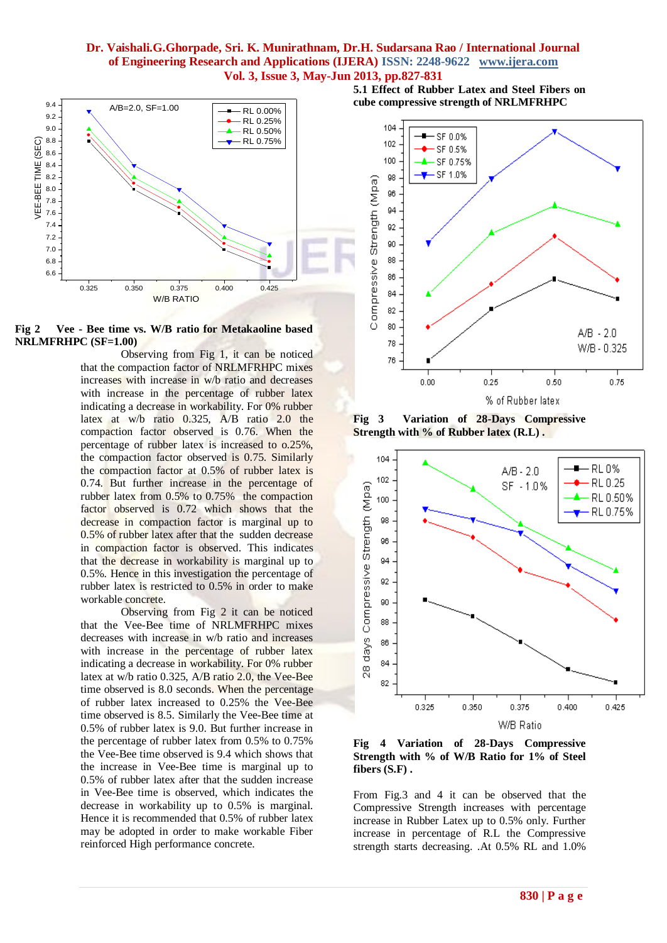

**Fig 2 Vee - Bee time vs. W/B ratio for Metakaoline based NRLMFRHPC (SF=1.00)**

Observing from Fig 1, it can be noticed that the compaction factor of NRLMFRHPC mixes increases with increase in w/b ratio and decreases with increase in the percentage of rubber latex indicating a decrease in workability. For 0% rubber latex at w/b ratio 0.325, A/B ratio 2.0 the compaction factor observed is 0.76. When the percentage of rubber latex is increased to o.25%, the compaction factor observed is 0.75. Similarly the compaction factor at 0.5% of rubber latex is 0.74. But further increase in the percentage of rubber latex from 0.5% to 0.75% the compaction factor observed is 0.72 which shows that the decrease in compaction factor is marginal up to 0.5% of rubber latex after that the sudden decrease in compaction factor is observed. This indicates that the decrease in workability is marginal up to 0.5%. Hence in this investigation the percentage of rubber latex is restricted to 0.5% in order to make workable concrete.

Observing from Fig 2 it can be noticed that the Vee-Bee time of NRLMFRHPC mixes decreases with increase in w/b ratio and increases with increase in the percentage of rubber latex indicating a decrease in workability. For 0% rubber latex at w/b ratio 0.325, A/B ratio 2.0, the Vee-Bee time observed is 8.0 seconds. When the percentage of rubber latex increased to 0.25% the Vee-Bee time observed is 8.5. Similarly the Vee-Bee time at 0.5% of rubber latex is 9.0. But further increase in the percentage of rubber latex from 0.5% to 0.75% the Vee-Bee time observed is 9.4 which shows that the increase in Vee-Bee time is marginal up to 0.5% of rubber latex after that the sudden increase in Vee-Bee time is observed, which indicates the decrease in workability up to 0.5% is marginal. Hence it is recommended that 0.5% of rubber latex may be adopted in order to make workable Fiber reinforced High performance concrete.

**5.1 Effect of Rubber Latex and Steel Fibers on cube compressive strength of NRLMFRHPC**



**Fig 3 Variation of 28-Days Compressive Strength with % of Rubber latex (R.L) .**



**Fig 4 Variation of 28-Days Compressive Strength with % of W/B Ratio for 1% of Steel fibers (S.F) .**

From Fig.3 and 4 it can be observed that the Compressive Strength increases with percentage increase in Rubber Latex up to 0.5% only. Further increase in percentage of R.L the Compressive strength starts decreasing. .At 0.5% RL and 1.0%